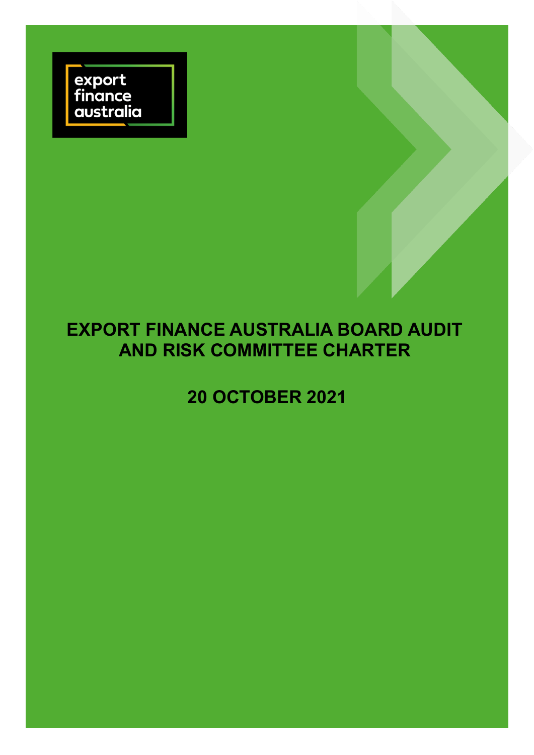

# **EXPORT FINANCE AUSTRALIA BOARD AUDIT AND RISK COMMITTEE CHARTER**

# **20 OCTOBER 2021**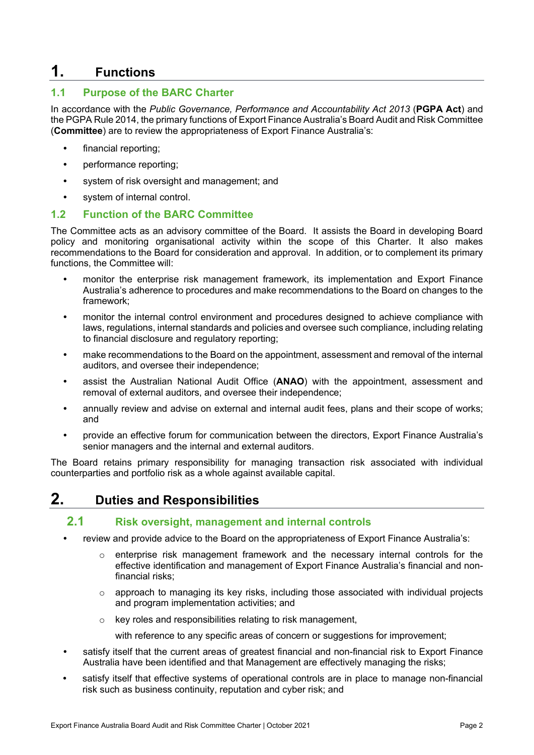# **1. Functions**

#### **1.1 Purpose of the BARC Charter**

In accordance with the *Public Governance, Performance and Accountability Act 2013* (**PGPA Act**) and the PGPA Rule 2014, the primary functions of Export Finance Australia's Board Audit and Risk Committee (**Committee**) are to review the appropriateness of Export Finance Australia's:

- **•** financial reporting;
- **•** performance reporting;
- **•** system of risk oversight and management; and
- **•** system of internal control.

#### **1.2 Function of the BARC Committee**

The Committee acts as an advisory committee of the Board. It assists the Board in developing Board policy and monitoring organisational activity within the scope of this Charter. It also makes recommendations to the Board for consideration and approval. In addition, or to complement its primary functions, the Committee will:

- **•** monitor the enterprise risk management framework, its implementation and Export Finance Australia's adherence to procedures and make recommendations to the Board on changes to the framework;
- **•** monitor the internal control environment and procedures designed to achieve compliance with laws, regulations, internal standards and policies and oversee such compliance, including relating to financial disclosure and regulatory reporting;
- **•** make recommendations to the Board on the appointment, assessment and removal of the internal auditors, and oversee their independence;
- **•** assist the Australian National Audit Office (**ANAO**) with the appointment, assessment and removal of external auditors, and oversee their independence;
- **•** annually review and advise on external and internal audit fees, plans and their scope of works; and
- **•** provide an effective forum for communication between the directors, Export Finance Australia's senior managers and the internal and external auditors.

The Board retains primary responsibility for managing transaction risk associated with individual counterparties and portfolio risk as a whole against available capital.

# **2. Duties and Responsibilities**

#### **2.1 Risk oversight, management and internal controls**

- **•** review and provide advice to the Board on the appropriateness of Export Finance Australia's:
	- $\circ$  enterprise risk management framework and the necessary internal controls for the effective identification and management of Export Finance Australia's financial and nonfinancial risks;
	- $\circ$  approach to managing its key risks, including those associated with individual projects and program implementation activities; and
	- o key roles and responsibilities relating to risk management,

with reference to any specific areas of concern or suggestions for improvement;

- **•** satisfy itself that the current areas of greatest financial and non-financial risk to Export Finance Australia have been identified and that Management are effectively managing the risks;
- **•** satisfy itself that effective systems of operational controls are in place to manage non-financial risk such as business continuity, reputation and cyber risk; and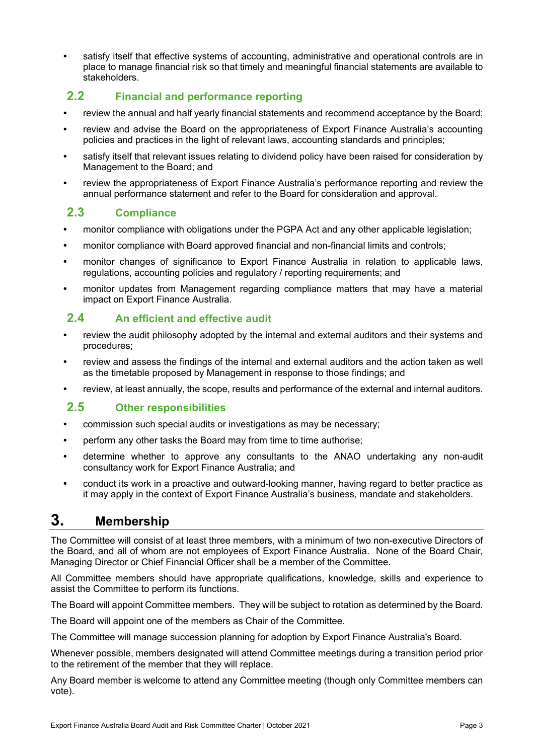**•** satisfy itself that effective systems of accounting, administrative and operational controls are in place to manage financial risk so that timely and meaningful financial statements are available to stakeholders.

### **2.2 Financial and performance reporting**

- **•** review the annual and half yearly financial statements and recommend acceptance by the Board;
- **•** review and advise the Board on the appropriateness of Export Finance Australia's accounting policies and practices in the light of relevant laws, accounting standards and principles;
- **•** satisfy itself that relevant issues relating to dividend policy have been raised for consideration by Management to the Board; and
- **•** review the appropriateness of Export Finance Australia's performance reporting and review the annual performance statement and refer to the Board for consideration and approval.

### **2.3 Compliance**

- **•** monitor compliance with obligations under the PGPA Act and any other applicable legislation;
- **•** monitor compliance with Board approved financial and non-financial limits and controls;
- **•** monitor changes of significance to Export Finance Australia in relation to applicable laws, regulations, accounting policies and regulatory / reporting requirements; and
- **•** monitor updates from Management regarding compliance matters that may have a material impact on Export Finance Australia.

### **2.4 An efficient and effective audit**

- **•** review the audit philosophy adopted by the internal and external auditors and their systems and procedures;
- **•** review and assess the findings of the internal and external auditors and the action taken as well as the timetable proposed by Management in response to those findings; and
- **•** review, at least annually, the scope, results and performance of the external and internal auditors.

### **2.5 Other responsibilities**

- **•** commission such special audits or investigations as may be necessary;
- **•** perform any other tasks the Board may from time to time authorise;
- **•** determine whether to approve any consultants to the ANAO undertaking any non-audit consultancy work for Export Finance Australia; and
- **•** conduct its work in a proactive and outward-looking manner, having regard to better practice as it may apply in the context of Export Finance Australia's business, mandate and stakeholders.

# **3. Membership**

The Committee will consist of at least three members, with a minimum of two non-executive Directors of the Board, and all of whom are not employees of Export Finance Australia. None of the Board Chair, Managing Director or Chief Financial Officer shall be a member of the Committee.

All Committee members should have appropriate qualifications, knowledge, skills and experience to assist the Committee to perform its functions.

The Board will appoint Committee members. They will be subject to rotation as determined by the Board.

The Board will appoint one of the members as Chair of the Committee.

The Committee will manage succession planning for adoption by Export Finance Australia's Board.

Whenever possible, members designated will attend Committee meetings during a transition period prior to the retirement of the member that they will replace.

Any Board member is welcome to attend any Committee meeting (though only Committee members can vote).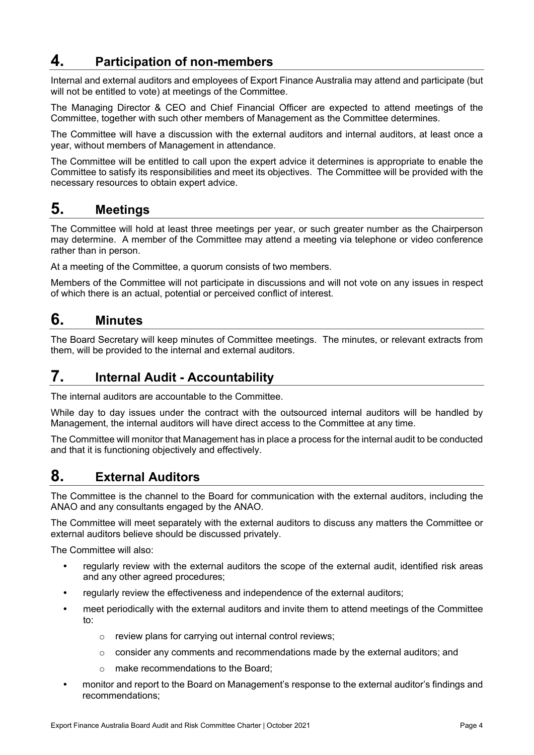# **4. Participation of non-members**

Internal and external auditors and employees of Export Finance Australia may attend and participate (but will not be entitled to vote) at meetings of the Committee.

The Managing Director & CEO and Chief Financial Officer are expected to attend meetings of the Committee, together with such other members of Management as the Committee determines.

The Committee will have a discussion with the external auditors and internal auditors, at least once a year, without members of Management in attendance.

The Committee will be entitled to call upon the expert advice it determines is appropriate to enable the Committee to satisfy its responsibilities and meet its objectives. The Committee will be provided with the necessary resources to obtain expert advice.

### **5. Meetings**

The Committee will hold at least three meetings per year, or such greater number as the Chairperson may determine. A member of the Committee may attend a meeting via telephone or video conference rather than in person.

At a meeting of the Committee, a quorum consists of two members.

Members of the Committee will not participate in discussions and will not vote on any issues in respect of which there is an actual, potential or perceived conflict of interest.

### **6. Minutes**

The Board Secretary will keep minutes of Committee meetings. The minutes, or relevant extracts from them, will be provided to the internal and external auditors.

# **7. Internal Audit - Accountability**

The internal auditors are accountable to the Committee.

While day to day issues under the contract with the outsourced internal auditors will be handled by Management, the internal auditors will have direct access to the Committee at any time.

The Committee will monitor that Management has in place a process for the internal audit to be conducted and that it is functioning objectively and effectively.

### **8. External Auditors**

The Committee is the channel to the Board for communication with the external auditors, including the ANAO and any consultants engaged by the ANAO.

The Committee will meet separately with the external auditors to discuss any matters the Committee or external auditors believe should be discussed privately.

The Committee will also:

- **•** regularly review with the external auditors the scope of the external audit, identified risk areas and any other agreed procedures;
- **•** regularly review the effectiveness and independence of the external auditors;
- **•** meet periodically with the external auditors and invite them to attend meetings of the Committee to:
	- o review plans for carrying out internal control reviews;
	- o consider any comments and recommendations made by the external auditors; and
	- o make recommendations to the Board;
- **•** monitor and report to the Board on Management's response to the external auditor's findings and recommendations;